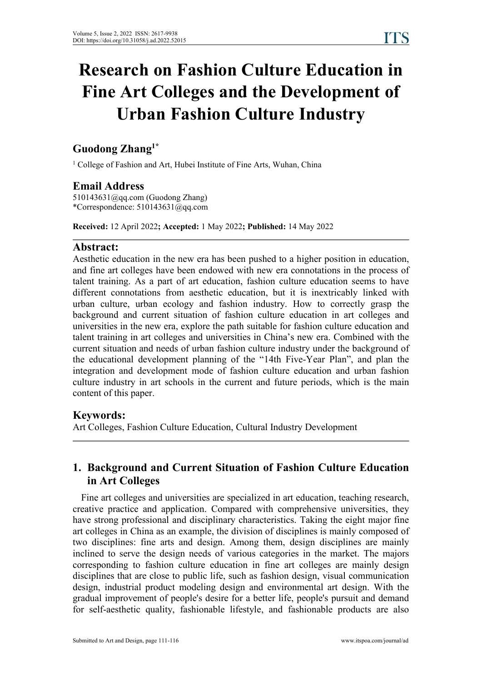# **Research on Fashion Culture Education in Fine Art Colleges and the Development of Urban Fashion Culture Industry**

#### **Guodong Zhang 1\***

<sup>1</sup> College of Fashion and Art, Hubei Institute of Fine Arts, Wuhan, China

### **Email Address**

510143631@qq.com (Guodong Zhang)\*Correspondence: 510143631@qq.com

**Received:** 12 April 2022**; Accepted:** 1 May 2022**; Published:** 14 May 2022

### **Abstract:**

Aesthetic education in the new era has been pushed to a higher position in education, and fine art colleges have been endowed with new era connotations in the process of talent training. As a part of art education, fashion culture education seems to have different connotations from aesthetic education, but it is inextricably linked with urban culture, urban ecology and fashion industry. How to correctly grasp the background and current situation of fashion culture education in art colleges and universities in the new era, explore the path suitable for fashion culture education and talent training in art colleges and universities in China's new era. Combined with the current situation and needs of urban fashion culture industry under the background of the educational development planning of the "14th Five-Year Plan", and plan the integration and development mode of fashion culture education and urban fashion culture industry in art schools in the current and future periods, which is the main content of this paper.

# **Keywords:**

Art Colleges, Fashion Culture Education, Cultural Industry Development

# **1. Background and Current Situation of Fashion Culture Education in Art Colleges**

Fine art colleges and universities are specialized in art education, teaching research, creative practice and application. Compared with comprehensive universities, they have strong professional and disciplinary characteristics. Taking the eight major fine art colleges in China as an example, the division of disciplines is mainly composed of two disciplines: fine arts and design. Among them, design disciplines are mainly inclined to serve the design needs of various categories in the market. The majors corresponding to fashion culture education in fine art colleges are mainly design disciplines that are close to public life, such as fashion design, visual communication design, industrial product modeling design and environmental art design. With the gradual improvement of people's desire for a better life, people's pursuit and demand for self-aesthetic quality, fashionable lifestyle, and fashionable products are also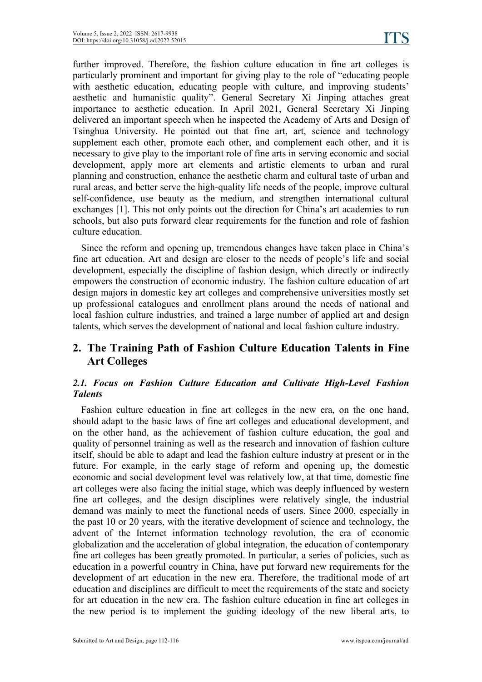further improved. Therefore, the fashion culture education in fine art colleges is particularly prominent and important for giving play to the role of "educating people with aesthetic education, educating people with culture, and improving students' aesthetic and humanistic quality". General Secretary Xi Jinping attaches great importance to aesthetic education. In April 2021, General Secretary Xi Jinping delivered an important speech when he inspected the Academy of Arts and Design of Tsinghua University. He pointed out that fine art, art, science and technology supplement each other, promote each other, and complement each other, and it is necessary to give play to the important role of fine arts in serving economic and social development, apply more art elements and artistic elements to urban and rural planning and construction, enhance the aesthetic charm and cultural taste of urban and rural areas, and better serve the high-quality life needs of the people, improve cultural self-confidence, use beauty as the medium, and strengthen international cultural exchanges [1]. This not only points out the direction for China's art academies to run schools, but also puts forward clear requirements for the function and role of fashion culture education.

Since the reform and opening up, tremendous changes have taken place in China's fine art education. Art and design are closer to the needs of people's life and social development, especially the discipline of fashion design, which directly or indirectly empowers the construction of economic industry. The fashion culture education of art design majors in domestic key art colleges and comprehensive universities mostly set up professional catalogues and enrollment plans around the needs of national and local fashion culture industries, and trained a large number of applied art and design talents, which serves the development of national and local fashion culture industry.

# **2. The Training Path of Fashion Culture Education Talents in Fine Art Colleges**

#### *2.1. Focus on Fashion Culture Education and Cultivate High-Level Fashion Talents*

Fashion culture education in fine art colleges in the new era, on the one hand, should adapt to the basic laws of fine art colleges and educational development, and on the other hand, as the achievement of fashion culture education, the goal and quality of personnel training as well as the research and innovation of fashion culture itself, should be able to adapt and lead the fashion culture industry at present or in the future. For example, in the early stage of reform and opening up, the domestic economic and social development level was relatively low, at that time, domestic fine art colleges were also facing the initial stage, which was deeply influenced by western fine art colleges, and the design disciplines were relatively single, the industrial demand was mainly to meet the functional needs of users. Since 2000, especially in the past 10 or 20 years, with the iterative development of science and technology, the advent of the Internet information technology revolution, the era of economic globalization and the acceleration of global integration, the education of contemporary fine art colleges has been greatly promoted. In particular, a series of policies, such as education in a powerful country in China, have put forward new requirements for the development of art education in the new era. Therefore, the traditional mode of art education and disciplines are difficult to meet the requirements of the state and society for art education in the new era. The fashion culture education in fine art colleges in the new period is to implement the guiding ideology of the new liberal arts, to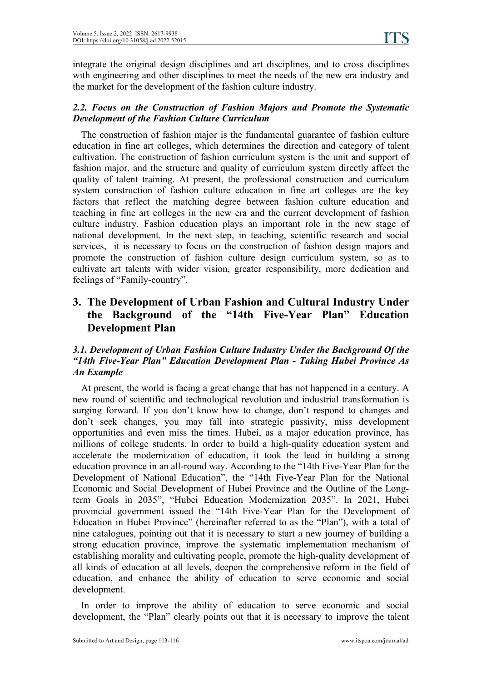integrate the original design disciplines and art disciplines, and to cross disciplines with engineering and other disciplines to meet the needs of the new era industry and the market for the development of the fashion culture industry.

#### *2.2. Focus on the Construction of Fashion Majors and Promote the Systematic Development of the Fashion Culture Curriculum*

The construction of fashion major is the fundamental guarantee of fashion culture education in fine art colleges, which determines the direction and category of talent cultivation. The construction of fashion curriculum system is the unit and support of fashion major, and the structure and quality of curriculum system directly affect the quality of talent training. At present, the professional construction and curriculum system construction of fashion culture education in fine art colleges are the key factors that reflect the matching degree between fashion culture education and teaching in fine art colleges in the new era and the current development of fashion culture industry. Fashion education plays an important role in the new stage of national development. In the next step, in teaching, scientific research and social services, it is necessary to focus on the construction of fashion design majors and promote the construction of fashion culture design curriculum system, so as to cultivate art talents with wider vision, greater responsibility, more dedication and feelings of "Family-country".

# **3. The Development of Urban Fashion and Cultural Industry Under the Background of the "14th Five-Year Plan" Education Development Plan**

#### *3.1. Development of Urban Fashion Culture Industry Under the Background Of the "14th Five-Year Plan" Education Development Plan - Taking Hubei Province As An Example*

At present, the world is facing a great change that has not happened in a century. A new round of scientific and technological revolution and industrial transformation is surging forward. If you don't know how to change, don't respond to changes and don't seek changes, you may fall into strategic passivity, miss development opportunities and even miss the times. Hubei, as a major education province, has millions of college students. In order to build a high-quality education system and accelerate the modernization of education, it took the lead in building a strong education province in an all-round way. According to the "14th Five-Year Plan for the Development of National Education", the "14th Five-Year Plan for the National Economic and Social Development of Hubei Province and the Outline of the Longterm Goals in 2035", "Hubei Education Modernization 2035". In 2021, Hubei provincial government issued the "14th Five-Year Plan for the Development of Education in Hubei Province" (hereinafter referred to as the "Plan"), with a total of nine catalogues, pointing out that it is necessary to start a new journey of building a strong education province, improve the systematic implementation mechanism of establishing morality and cultivating people, promote the high-quality development of all kinds of education at all levels, deepen the comprehensive reform in the field of education, and enhance the ability of education to serve economic and social development.

In order to improve the ability of education to serve economic and social development, the "Plan" clearly points out that it is necessary to improve the talent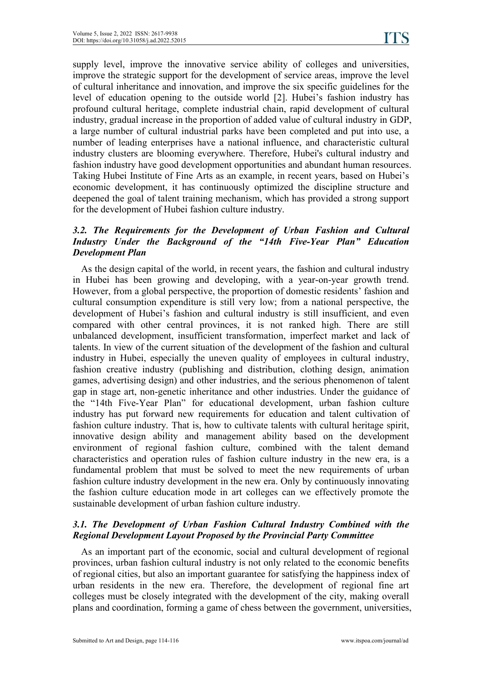supply level, improve the innovative service ability of colleges and universities, improve the strategic support for the development of service areas, improve the level of cultural inheritance and innovation, and improve the six specific guidelines for the level of education opening to the outside world [2]. Hubei's fashion industry has profound cultural heritage, complete industrial chain, rapid development of cultural industry, gradual increase in the proportion of added value of cultural industry in GDP, a large number of cultural industrial parks have been completed and put into use, a number of leading enterprises have a national influence, and characteristic cultural industry clusters are blooming everywhere. Therefore, Hubei's cultural industry and fashion industry have good development opportunities and abundant human resources. Taking Hubei Institute of Fine Arts as an example, in recent years, based on Hubei's economic development, it has continuously optimized the discipline structure and deepened the goal of talent training mechanism, which has provided a strong support for the development of Hubei fashion culture industry.

#### *3.2. The Requirements for the Development of Urban Fashion and Cultural Industry Under the Background of the "14th Five-Year Plan" Education Development Plan*

As the design capital of the world, in recent years, the fashion and cultural industry in Hubei has been growing and developing, with a year-on-year growth trend. However, from a global perspective, the proportion of domestic residents' fashion and cultural consumption expenditure isstill very low; from a national perspective, the development of Hubei's fashion and cultural industry is still insufficient, and even compared with other central provinces, it is not ranked high. There are still unbalanced development, insufficient transformation, imperfect market and lack of talents. In view of the current situation of the development of the fashion and cultural industry in Hubei, especially the uneven quality of employees in cultural industry, fashion creative industry (publishing and distribution, clothing design, animation games, advertising design) and other industries, and the serious phenomenon of talent gap in stage art, non-genetic inheritance and other industries. Under the guidance of the "14th Five-Year Plan" for educational development, urban fashion culture industry has put forward new requirements for education and talent cultivation of fashion culture industry. That is, how to cultivate talents with cultural heritage spirit, innovative design ability and management ability based on the development environment of regional fashion culture, combined with the talent demand characteristics and operation rules of fashion culture industry in the new era, is a fundamental problem that must be solved to meet the new requirements of urban fashion culture industry development in the new era. Only by continuously innovating the fashion culture education mode in art colleges can we effectively promote the sustainable development of urban fashion culture industry.

#### *3.1. The Development of Urban Fashion Cultural Industry Combined with the Regional Development Layout Proposed by the Provincial Party Committee*

As an important part of the economic, social and cultural development of regional provinces, urban fashion cultural industry is not only related to the economic benefits of regional cities, but also an important guarantee for satisfying the happiness index of urban residents in the new era. Therefore, the development of regional fine art colleges must be closely integrated with the development of the city, making overall plans and coordination, forming a game of chess between the government, universities,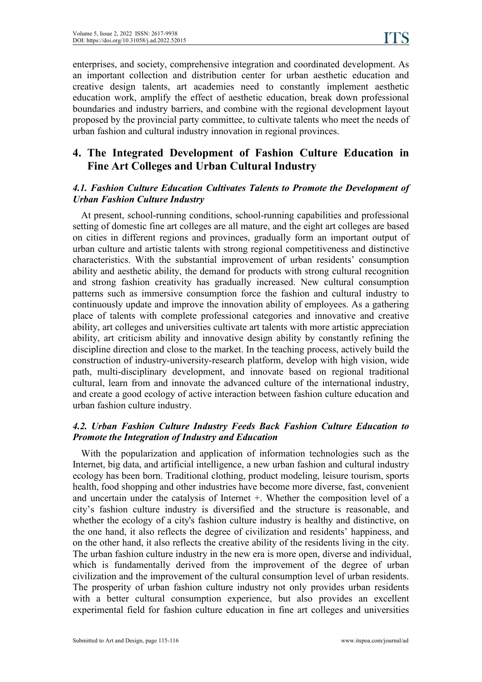enterprises, and society, comprehensive integration and coordinated development. As an important collection and distribution center for urban aesthetic education and creative design talents, art academies need to constantly implement aesthetic education work, amplify the effect of aesthetic education, break down professional boundaries and industry barriers, and combine with the regional development layout proposed by the provincial party committee, to cultivate talents who meet the needs of urban fashion and cultural industry innovation in regional provinces.

# **4. The Integrated Development of Fashion Culture Education in Fine Art Colleges and Urban Cultural Industry**

#### *4.1. Fashion Culture Education Cultivates Talents to Promote the Development of Urban Fashion Culture Industry*

At present, school-running conditions, school-running capabilities and professional setting of domestic fine art colleges are all mature, and the eight art colleges are based on cities in different regions and provinces, gradually form an important output of urban culture and artistic talents with strong regional competitiveness and distinctive characteristics. With the substantial improvement of urban residents' consumption ability and aesthetic ability, the demand for products with strong cultural recognition and strong fashion creativity has gradually increased. New cultural consumption patterns such as immersive consumption force the fashion and cultural industry to continuously update and improve the innovation ability of employees. As a gathering place of talents with complete professional categories and innovative and creative ability, art colleges and universities cultivate art talents with more artistic appreciation ability, art criticism ability and innovative design ability by constantly refining the discipline direction and close to the market. In the teaching process, actively build the construction of industry-university-research platform, develop with high vision, wide path, multi-disciplinary development, and innovate based on regional traditional cultural, learn from and innovate the advanced culture of the international industry, and create a good ecology of active interaction between fashion culture education and urban fashion culture industry.

#### *4.2. Urban Fashion Culture Industry Feeds Back Fashion Culture Education to Promote the Integration of Industry and Education*

With the popularization and application of information technologies such as the Internet, big data, and artificial intelligence, a new urban fashion and cultural industry ecology has been born. Traditional clothing, product modeling, leisure tourism, sports health, food shopping and other industries have become more diverse, fast, convenient and uncertain under the catalysis of Internet +. Whether the composition level of a city's fashion culture industry is diversified and the structure is reasonable, and whether the ecology of a city's fashion culture industry is healthy and distinctive, on the one hand, it also reflects the degree of civilization and residents' happiness, and on the other hand, it also reflects the creative ability of the residents living in the city. The urban fashion culture industry in the new era is more open, diverse and individual, which is fundamentally derived from the improvement of the degree of urban civilization and the improvement of the cultural consumption level of urban residents. The prosperity of urban fashion culture industry not only provides urban residents with a better cultural consumption experience, but also provides an excellent experimental field for fashion culture education in fine art colleges and universities